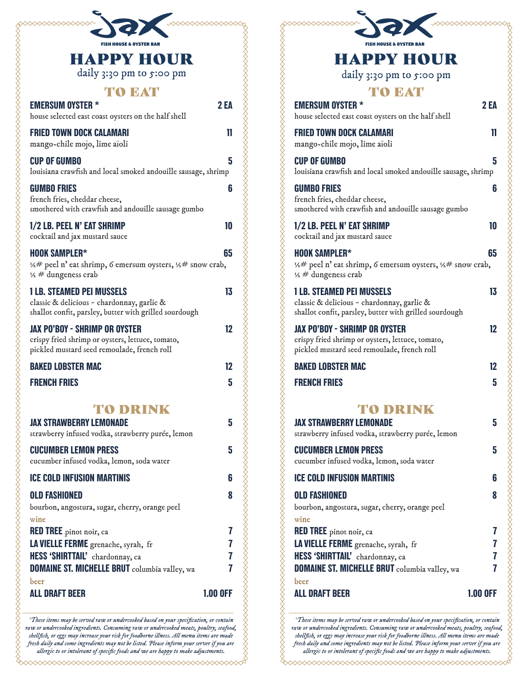| <b>FISH HOUSE &amp; OYSTER BAR</b>                                                                                                       |                 |
|------------------------------------------------------------------------------------------------------------------------------------------|-----------------|
| <b>HAPPY HOUR</b><br>daily 3:30 pm to 5:00 pm                                                                                            |                 |
| <b>TO EAT</b><br><b>EMERSUM OYSTER *</b>                                                                                                 | <b>2 EA</b>     |
| house selected east coast oysters on the half shell                                                                                      |                 |
| <b>FRIED TOWN DOCK CALAMARI</b><br>mango-chile mojo, lime aïoli                                                                          | 11              |
| <b>CUP OF GUMBO</b><br>louisiana crawfish and local smoked andouille sausage, shrimp                                                     | 5               |
| <b>GUMBO FRIES</b><br>french fries, cheddar cheese,<br>smothered with crawfish and andouille sausage gumbo                               | 6               |
| 1/2 LB. PEEL N' EAT SHRIMP<br>cocktail and jax mustard sauce                                                                             | 10              |
| <b>HOOK SAMPLER*</b><br>1/2# peel n' eat shrimp, 6 emersum oysters, 1/2# snow crab,<br>$\frac{1}{2}$ # dungeness crab                    | 65              |
| <b>1 LB. STEAMED PEI MUSSELS</b><br>classic & delicious - chardonnay, garlic &<br>shallot confit, parsley, butter with grilled sourdough | 13              |
| <b>JAX PO'BOY - SHRIMP OR OYSTER</b><br>crispy fried shrimp or oysters, lettuce, tomato,<br>pickled mustard seed remoulade, french roll  | 12              |
| <b>BAKED LOBSTER MAC</b>                                                                                                                 | 12              |
| <b>FRENCH FRIES</b>                                                                                                                      | 5               |
| <b>TO DRINK</b>                                                                                                                          |                 |
| <b>JAX STRAWBERRY LEMONADE</b><br>strawberry infused vodka, strawberry purée, lemon                                                      | 5               |
| <b>CUCUMBER LEMON PRESS</b>                                                                                                              | 5               |
| cucumber infused vodka, lemon, soda water                                                                                                |                 |
| <b>ICE COLD INFUSION MARTINIS</b>                                                                                                        | 6               |
| <b>OLD FASHIONED</b><br>bourbon, angostura, sugar, cherry, orange peel                                                                   | 8               |
| wine<br><b>RED TREE</b> pinot noir, ca                                                                                                   | 7               |
| LA VIELLE FERME grenache, syrah, fr                                                                                                      | 7               |
| HESS 'SHIRTTAIL' chardonnay, ca                                                                                                          | 7               |
| DOMAINE ST. MICHELLE BRUT columbia valley, wa                                                                                            | 7               |
| beer                                                                                                                                     | <b>1.00 OFF</b> |

*\*These items may be served raw or undercooked based on your specification, or contain raw or undercooked ingredients. Consuming raw or undercooked meats, poultry, seafood, shellfish, or eggs may increase your risk for foodborne illness. All menu items are made fresh daily and some ingredients may not be listed. Please inform your server if you are allergic to or intolerant of specific foods and we are happy to make adjustments.*

000000000000000000000000

| <b>HAPPY HOUR</b>                                                                                                                        |                 |
|------------------------------------------------------------------------------------------------------------------------------------------|-----------------|
| daily 3:30 pm to 5:00 pm                                                                                                                 |                 |
| <b>TO EAT</b>                                                                                                                            |                 |
| <b>EMERSUM OYSTER *</b><br>house selected east coast oysters on the half shell                                                           | <b>2EA</b>      |
| <b>FRIED TOWN DOCK CALAMARI</b><br>mango-chile mojo, lime aïoli                                                                          | 11              |
| <b>CUP OF GUMBO</b><br>louisiana crawfish and local smoked andouille sausage, shrimp                                                     | 5               |
| <b>GUMBO FRIES</b><br>french fries, cheddar cheese,<br>smothered with crawfish and andouille sausage gumbo                               | 6               |
| 1/2 LB. PEEL N' EAT SHRIMP<br>cocktail and jax mustard sauce                                                                             | 10              |
| <b>HOOK SAMPLER*</b><br>1/2# peel n' eat shrimp, 6 emersum oysters, 1/2# snow crab,<br>$\frac{1}{2}$ # dungeness crab                    | 65              |
| <b>1 LB. STEAMED PEI MUSSELS</b><br>classic & delicious - chardonnay, garlic &<br>shallot confit, parsley, butter with grilled sourdough | 13              |
| <b>JAX PO'BOY - SHRIMP OR OYSTER</b><br>crispy fried shrimp or oysters, lettuce, tomato,<br>pickled mustard seed remoulade, french roll  | 12              |
| <b>BAKED LOBSTER MAC</b>                                                                                                                 | 12              |
| <b>FRENCH FRIES</b>                                                                                                                      | 5               |
| <b>TO DRINK</b><br><b>JAX STRAWBERRY LEMONADE</b>                                                                                        | 5               |
| strawberry infused vodka, strawberry purée, lemon                                                                                        |                 |
| <b>CUCUMBER LEMON PRESS</b><br>cucumber infused vodka, lemon, soda water                                                                 | 5               |
| <b>ICE COLD INFUSION MARTINIS</b>                                                                                                        | 6               |
| <b>OLD FASHIONED</b><br>bourbon, angostura, sugar, cherry, orange peel                                                                   | 8               |
| wine<br><b>RED TREE</b> pinot noir, ca                                                                                                   | 7               |
| LA VIELLE FERME grenache, syrah, fr                                                                                                      | 7               |
| HESS 'SHIRTTAIL' chardonnay, ca                                                                                                          | 7               |
| DOMAINE ST. MICHELLE BRUT columbia valley, wa                                                                                            | 7               |
| beer<br><b>ALL DRAFT BEER</b>                                                                                                            | <b>1.00 OFF</b> |